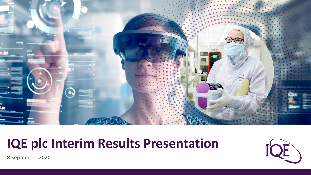

# **IQE plc Interim Results Presentation**



8 September 2020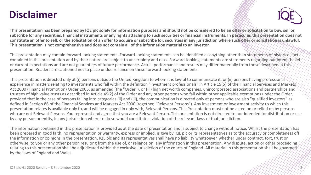### **Disclaimer**



**This presentation has been prepared by IQE plc solely for information purposes and should not be considered to be an offer or solicitation to buy, sell or subscribe for any securities, financial instruments or any rights attaching to such securities or financial instruments. In particular, this presentation does not constitute an offer to sell, or the solicitation of an offer to acquire or subscribe for, securities in any jurisdiction where such offer or solicitation is unlawful. This presentation is not comprehensive and does not contain all of the information material to an investor.**

This presentation may contain forward-looking statements. Forward-looking statements can be identified as anything other than statements of historical fact contained in this presentation and by their nature are subject to uncertainty and risks. Forward-looking statements are statements regarding our intent, belief or current expectations and are not guarantees of future performance. Actual performance and results may differ materially from those described in this presentation. Readers are cautioned not to place undue reliance on these forward-looking statements.

This presentation is directed only at (i) persons outside the United Kingdom to whom it is lawful to communicate it, or (ii) persons having professional experience in matters relating to investments who fall within the definition "investment professionals" in Article 19(5) of the Financial Services and Markets Act 2000 (Financial Promotion) Order 2005, as amended (the "Order"), or (iii) high net worth companies, unincorporated associations and partnerships and trustees of high value trusts as described in Article 49(2) of the Order and any other persons who fall within other applicable exemptions under the Order, provided that in the case of persons falling into categories (ii) and (iii), the communication is directed only at persons who are also "qualified investors" as defined in Section 86 of the Financial Services and Markets Act 2000 (together, "Relevant Persons"). Any investment or investment activity to which this presentation relates is available only to, and will be engaged in only with, Relevant Persons. This Presentation must not be acted on or relied on by persons who are not Relevant Persons. You represent and agree that you are a Relevant Person. This presentation is not directed to nor intended for distribution or use by any person or entity, in any jurisdiction where to do so would constitute a violation of the relevant laws of that jurisdiction.

The information contained in this presentation is provided as at the date of presentation and is subject to change without notice. Whilst the presentation has been prepared in good faith, no representation or warranty, express or implied, is give by IQE plc or its representatives as to the accuracy or completeness off the information or opinions in the presentation. IQE plc and its representatives shall have no liability whatsoever, whether under contract, tort, trust or otherwise, to you or any other person resulting from the use of, or reliance on, any information in this presentation. Any dispute, action or other proceeding relating to this presentation shall be adjudicated within the exclusive jurisdiction of the courts of England. All material in this presentation shall be governed by the laws of England and Wales.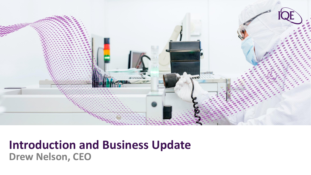

# **Introduction and Business Update Drew Nelson, CEO**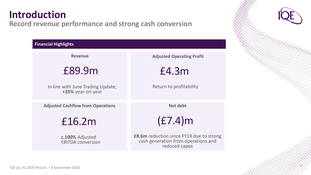## **Introduction**

#### **Record revenue performance and strong cash conversion**

| <b>Financial Highlights</b>                            |                                                                                                         |
|--------------------------------------------------------|---------------------------------------------------------------------------------------------------------|
| <b>Revenue</b>                                         | <b>Adjusted Operating Profit</b>                                                                        |
| £89.9m                                                 | £4.3m                                                                                                   |
| In line with June Trading Update;<br>+35% year-on-year | Return to profitability                                                                                 |
| <b>Adjusted Cashflow from Operations</b>               | <b>Net debt</b>                                                                                         |
| £16.2m                                                 | (E7.4)m                                                                                                 |
| c.100% Adjusted<br><b>EBITDA conversion</b>            | <b>£8.6m</b> reduction since FY19 due to strong<br>cash generation from operations and<br>reduced capex |
|                                                        |                                                                                                         |

4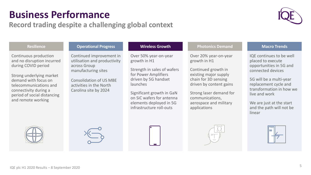## **Business Performance**

#### **Record trading despite a challenging global context**



| <b>Resilience</b>                                                                                                                                                                                                                      | <b>Operational Progress</b>                                                                                                                                                           | <b>Wireless Growth</b>                                                                                                                                                                                                                            | <b>Photonics Demand</b>                                                                                                                                                                                                          | <b>Macro Trends</b>                                                                                                                                                                                                                                              |
|----------------------------------------------------------------------------------------------------------------------------------------------------------------------------------------------------------------------------------------|---------------------------------------------------------------------------------------------------------------------------------------------------------------------------------------|---------------------------------------------------------------------------------------------------------------------------------------------------------------------------------------------------------------------------------------------------|----------------------------------------------------------------------------------------------------------------------------------------------------------------------------------------------------------------------------------|------------------------------------------------------------------------------------------------------------------------------------------------------------------------------------------------------------------------------------------------------------------|
| Continuous production<br>and no disruption incurred<br>during COVID period<br>Strong underlying market<br>demand with focus on<br>telecommunications and<br>connectivity during a<br>period of social distancing<br>and remote working | Continued improvement in<br>utilisation and productivity<br>across Group<br>manufacturing sites<br><b>Consolidation of US MBE</b><br>activities in the North<br>Carolina site by 2024 | Over 50% year-on-year<br>growth in H1<br>Strength in sales of wafers<br>for Power Amplifiers<br>driven by 5G handset<br>launches<br>Significant growth in GaN<br>on SiC wafers for antenna<br>elements deployed in 5G<br>infrastructure roll-outs | Over 20% year-on-year<br>growth in H1<br>Continued growth in<br>existing major supply<br>chain for 3D sensing<br>driven by content gains<br>Strong laser demand for<br>communications,<br>aerospace and military<br>applications | IQE continues to be well<br>placed to execute<br>opportunities in 5G and<br>connected devices<br>5G will be a multi-year<br>replacement cycle and<br>transformation in how we<br>live and work<br>We are just at the start<br>and the path will not be<br>linear |









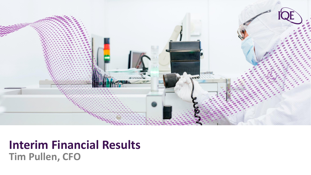

## **Interim Financial Results Tim Pullen, CFO**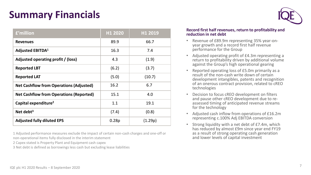## **Summary Financials**

| £'million                                      | H1 2020 | H1 2019 |
|------------------------------------------------|---------|---------|
| <b>Revenues</b>                                | 89.9    | 66.7    |
| <b>Adjusted EBITDA1</b>                        | 16.3    | 7.4     |
| Adjusted operating profit / (loss)             | 4.3     | (1.9)   |
| <b>Reported LBT</b>                            | (6.2)   | (3.7)   |
| <b>Reported LAT</b>                            | (5.0)   | (10.7)  |
| <b>Net Cashflow from Operations (Adjusted)</b> | 16.2    | 6.7     |
| <b>Net Cashflow from Operations (Reported)</b> | 15.1    | 4.0     |
| Capital expenditure <sup>2</sup>               | 1.1     | 19.1    |
| Net debt $3$                                   | (7.4)   | (0.8)   |
| <b>Adjusted fully diluted EPS</b>              | 0.28p   | (1.29p) |

1 Adjusted performance measures exclude the impact of certain non-cash charges and one-off or non-operational items fully disclosed in the interim statement

- 2 Capex stated is Property Plant and Equipment cash capex
- 3 Net debt is defined as borrowings less cash but excluding lease liabilities



#### **Record first half revenues, return to profitability and reduction in net debt**

- Revenue of £89.9m representing 35% year-onyear growth and a record first half revenue performance for the Group
- Adjusted operating profit of £4.3m representing a return to profitability driven by additional volume against the Group's high operational gearing
- Reported operating loss of £5.0m primarily as a result of the non-cash write down of certain development intangibles, patents and recognition of an onerous contract provision, related to cREO technologies
- Decision to focus cREO development on filters and pause other cREO development due to reassessed timing of anticipated revenue streams for the technology
- Adjusted cash inflow from operations of £16.2m representing c.100% Adj EBITDA conversion
- Strong liquidity with a net debt of £7.4m, which has reduced by almost £9m since year end FY19 as a result of strong operating cash generation and lower levels of capital investment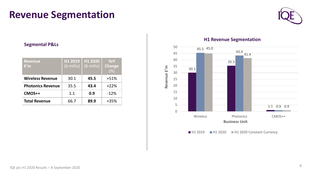### **Revenue Segmentation**



#### **Segmental P&Ls**

| <b>Revenue</b><br>f'm    | <b>H1 2019</b><br>$(6 \text{ mths})$ | H1 2020<br>$(6 \text{ mths})$ | YoY<br><b>Change</b><br>(%) |
|--------------------------|--------------------------------------|-------------------------------|-----------------------------|
| <b>Wireless Revenue</b>  | 30.1                                 | 45.5                          | $+51%$                      |
| <b>Photonics Revenue</b> | 35.5                                 | 43.4                          | $+22%$                      |
| CMOS++                   | 1.1                                  | 0.9                           | $-12%$                      |
| <b>Total Revenue</b>     | 66.7                                 | 89.9                          | +35%                        |

#### **H1 Revenue Segmentation**

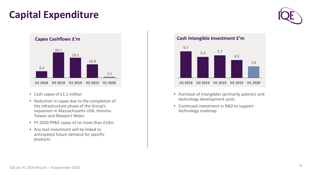## **Capital Expenditure**





- Cash capex of £1.1 million
- Reduction in capex due to the completion of the infrastructure phase of the Group's expansion in Massachusetts USA, Hsinchu Taiwan and Newport Wales
- FY 2020 PP&E capex of no more than £10m
- Any tool investment will be linked to anticipated future demand for specific products

**Cash Intangible Investment £'m**



- Purchase of intangibles (primarily patents) and technology development costs
- Continued investment in R&D to support technology roadmap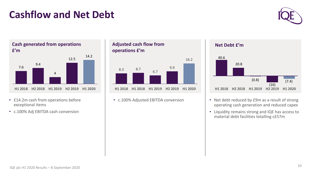# **Cashflow and Net Debt**



7.6 9.4 4 12.5 14.2 **H1 2018 H2 2018 H1 2019 H2 2019 H1 2020 Cash generated from operations £'m**

- £14.2m cash from operations before exceptional items
- c.100% Adj EBITDA cash conversion

**Adjusted cash flow from operations £'m**



• c.100% Adjusted EBITDA conversion



- Net debt reduced by £9m as a result of strong operating cash generation and reduced capex
- Liquidity remains strong and IQE has access to material debt facilities totalling c£57m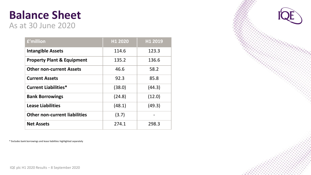#### **Balance Sheet** As at 30 June 2020

| £'million                             | H1 2020 | H1 2019 |
|---------------------------------------|---------|---------|
| <b>Intangible Assets</b>              | 114.6   | 123.3   |
| <b>Property Plant &amp; Equipment</b> | 135.2   | 136.6   |
| <b>Other non-current Assets</b>       | 46.6    | 58.2    |
| <b>Current Assets</b>                 | 92.3    | 85.8    |
| <b>Current Liabilities*</b>           | (38.0)  | (44.3)  |
| <b>Bank Borrowings</b>                | (24.8)  | (12.0)  |
| <b>Lease Liabilities</b>              | (48.1)  | (49.3)  |
| <b>Other non-current liabilities</b>  | (3.7)   |         |
| <b>Net Assets</b>                     | 274.1   | 298.3   |

\* Excludes bank borrowings and lease liabilities highlighted separately

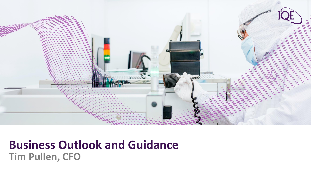

# **Business Outlook and Guidance Tim Pullen, CFO**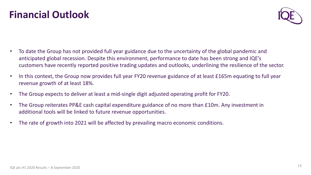## **Financial Outlook**

- To date the Group has not provided full year guidance due to the uncertainty of the global pandemic and anticipated global recession. Despite this environment, performance to date has been strong and IQE's customers have recently reported positive trading updates and outlooks, underlining the resilience of the sector.
- In this context, the Group now provides full year FY20 revenue guidance of at least £165m equating to full year revenue growth of at least 18%.
- The Group expects to deliver at least a mid-single digit adjusted operating profit for FY20.
- The Group reiterates PP&E cash capital expenditure guidance of no more than £10m. Any investment in additional tools will be linked to future revenue opportunities.
- The rate of growth into 2021 will be affected by prevailing macro economic conditions.

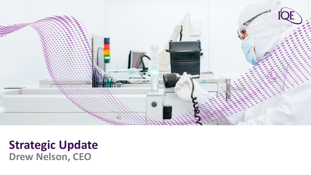

# **Strategic Update Drew Nelson, CEO**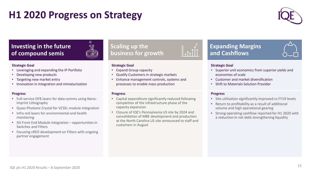# **H1 2020 Progress on Strategy**



#### **Investing in the future of compound semis**



#### **Strategic Goal**

- Leveraging and expanding the IP Portfolio
- Developing new products
- Targeting new market entry
- Innovation in integration and miniaturization

#### **Progress**

- Full-service DFB lasers for data comms using Nano-Imprint Lithography
- Quasi-Photonic Crystal for VCSEL module integration
- Infra red lasers for environmental and health monitoring
- 5G Front End Module integration opportunities in Switches and Filters
- Focusing cREO development on Filters with ongoing partner engagement

#### **Scaling up the business for growth**



- Expand Group capacity
- Qualify Customers in strategic markets
- Enhance management controls, systems and processes to enable mass production

#### **Progress**

- Capital expenditure significantly reduced following completion of the infrastructure phase of the capacity expansion
- Closure of IQE's Pennsylvania US site by 2024 and consolidation of MBE development and production at the North Carolina US site announced to staff and customers in August

#### **Expanding Margins and Cashflows**



#### **Strategic Goal**

- Superior unit economics from superior yields and economies of scale
- Customer and market diversification
- Shift to Materials Solution Provider

#### **Progress**

- Site utilisation significantly improved vs FY19 levels
- Return to profitability as a result of additional volume and high operational gearing
- Strong operating cashflow reported for H1 2020 with a reduction in net debt strengthening liquidity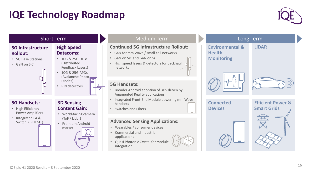# **IQE Technology Roadmap**



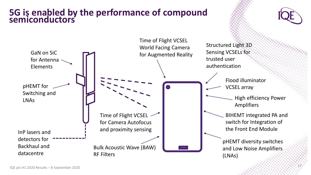#### **5G is enabled by the performance of compound semiconductors**





17